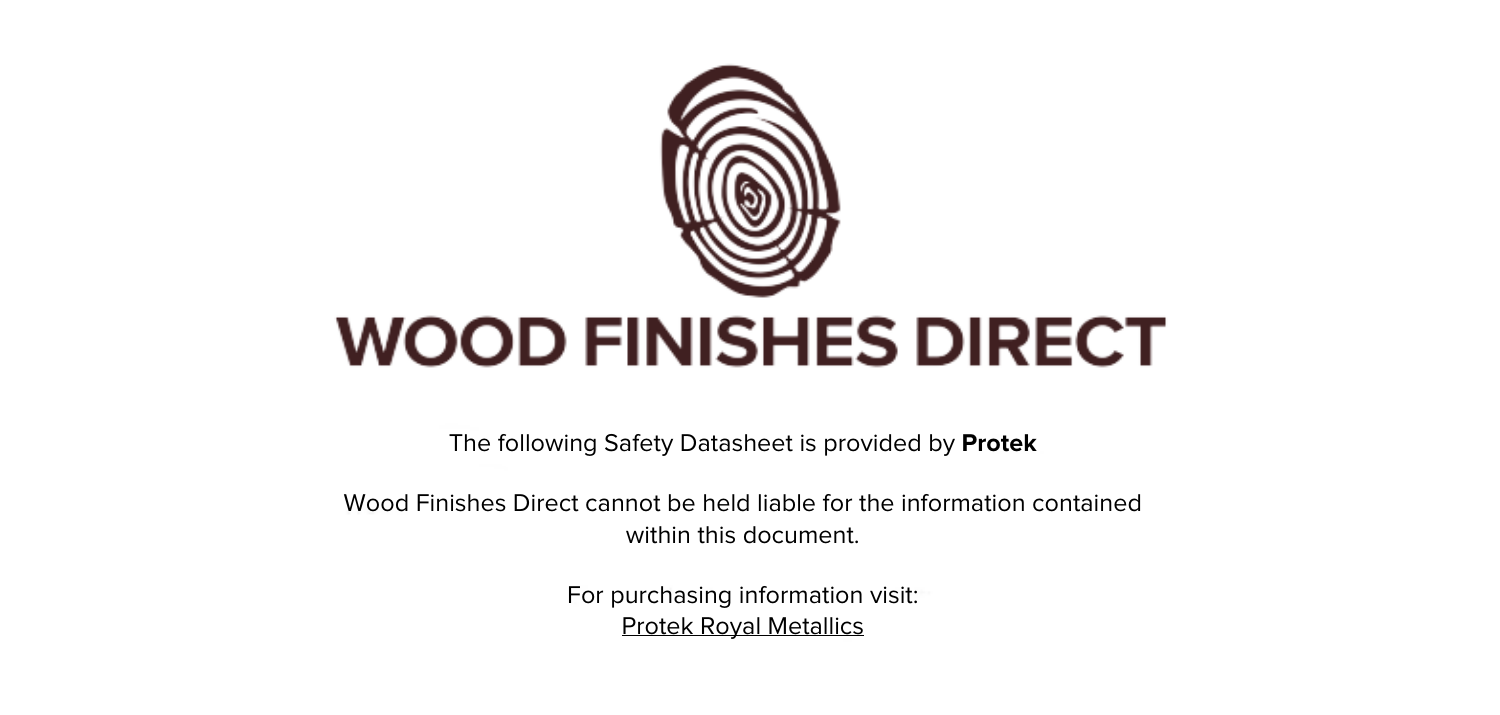

The following Safety Datasheet is provided by **Protek**

Wood Finishes Direct cannot be held liable for the information contained within this document

> For purchasing information visit: [Protek Royal Metallics](https://www.wood-finishes-direct.com/product/protek-royal-metallics)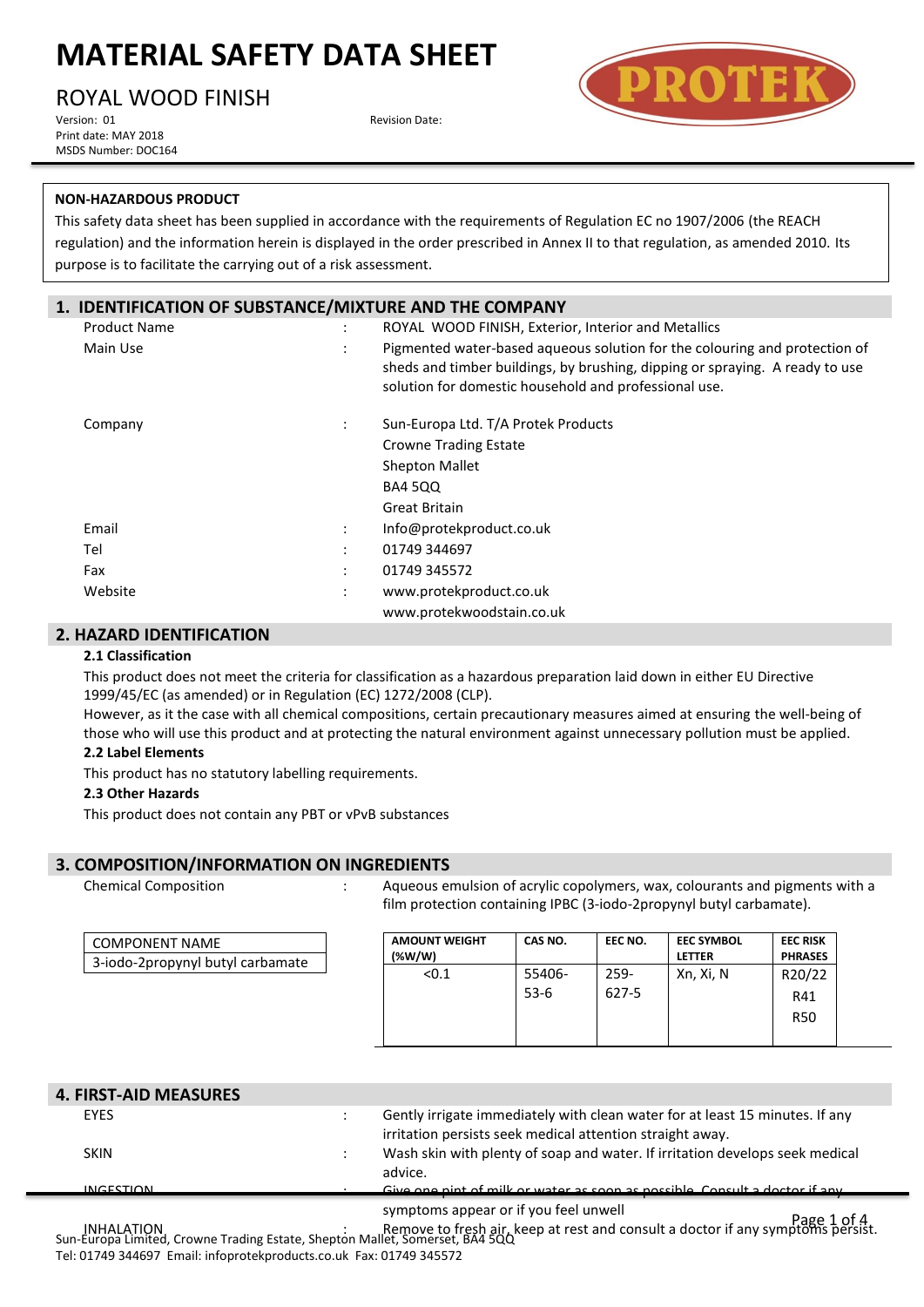ROYAL WOOD FINISH

Version: 01 **Revision Date: Revision Date: Revision Date:** Print date: MAY 2018 MSDS Number: DOC164



### **NON-HAZARDOUS PRODUCT**

This safety data sheet has been supplied in accordance with the requirements of Regulation EC no 1907/2006 (the REACH regulation) and the information herein is displayed in the order prescribed in Annex II to that regulation, as amended 2010. Its purpose is to facilitate the carrying out of a risk assessment.

### **1. IDENTIFICATION OF SUBSTANCE/MIXTURE AND THE COMPANY**

| <b>Product Name</b> | ÷                 | ROYAL WOOD FINISH, Exterior, Interior and Metallics                                                                                                                                                                 |
|---------------------|-------------------|---------------------------------------------------------------------------------------------------------------------------------------------------------------------------------------------------------------------|
| Main Use            | ÷                 | Pigmented water-based aqueous solution for the colouring and protection of<br>sheds and timber buildings, by brushing, dipping or spraying. A ready to use<br>solution for domestic household and professional use. |
| Company             | ÷                 | Sun-Europa Ltd. T/A Protek Products                                                                                                                                                                                 |
|                     |                   | <b>Crowne Trading Estate</b>                                                                                                                                                                                        |
|                     |                   | <b>Shepton Mallet</b>                                                                                                                                                                                               |
|                     |                   | <b>BA4 500</b>                                                                                                                                                                                                      |
|                     |                   | Great Britain                                                                                                                                                                                                       |
| Email               | ÷                 | Info@protekproduct.co.uk                                                                                                                                                                                            |
| Tel                 | ٠<br>$\mathbf{r}$ | 01749 344697                                                                                                                                                                                                        |
| Fax                 | ٠<br>$\mathbf{r}$ | 01749 345572                                                                                                                                                                                                        |
| Website             | ÷                 | www.protekproduct.co.uk                                                                                                                                                                                             |
|                     |                   | www.protekwoodstain.co.uk                                                                                                                                                                                           |

### **2. HAZARD IDENTIFICATION**

#### **2.1 Classification**

This product does not meet the criteria for classification as a hazardous preparation laid down in either EU Directive 1999/45/EC (as amended) or in Regulation (EC) 1272/2008 (CLP).

However, as it the case with all chemical compositions, certain precautionary measures aimed at ensuring the well-being of those who will use this product and at protecting the natural environment against unnecessary pollution must be applied.

## **2.2 Label Elements**

This product has no statutory labelling requirements.

#### **2.3 Other Hazards**

This product does not contain any PBT or vPvB substances

## **3. COMPOSITION/INFORMATION ON INGREDIENTS**

Chemical Composition

: Aqueous emulsion of acrylic copolymers, wax, colourants and pigments with a film protection containing IPBC (3-iodo-2propynyl butyl carbamate).

| <b>COMPONENT NAME</b>            |  |
|----------------------------------|--|
| 3-iodo-2propynyl butyl carbamate |  |

| <b>AMOUNT WEIGHT</b><br>(% | CAS NO. | EEC NO. | <b>EEC SYMBOL</b><br><b>LETTER</b> | <b>EEC RISK</b><br><b>PHRASES</b> |
|----------------------------|---------|---------|------------------------------------|-----------------------------------|
| < 0.1                      | 55406-  | $259 -$ | Xn, Xi, N                          | R20/22                            |
|                            | $53-6$  | 627-5   |                                    | R41                               |
|                            |         |         |                                    | <b>R50</b>                        |
|                            |         |         |                                    |                                   |

| <b>4. FIRST-AID MEASURES</b> |                                       |                                                                                                                                           |  |
|------------------------------|---------------------------------------|-------------------------------------------------------------------------------------------------------------------------------------------|--|
| <b>EYES</b>                  |                                       | Gently irrigate immediately with clean water for at least 15 minutes. If any<br>irritation persists seek medical attention straight away. |  |
| <b>SKIN</b>                  | advice.                               | Wash skin with plenty of soap and water. If irritation develops seek medical                                                              |  |
| <b>INCECTION</b>             |                                       | Cive and pint of milk or water as soon as possible. Consult a doctor if any                                                               |  |
|                              | symptoms appear or if you feel unwell |                                                                                                                                           |  |

Page 1 of 4 INHALATION<br>Sun-Europa Limited, Crowne Trading Estate, Shepton Mallet, Somerset, BA4 5QQ Tel: 01749 344697 Email: infoprotekproducts.co.uk Fax: 01749 345572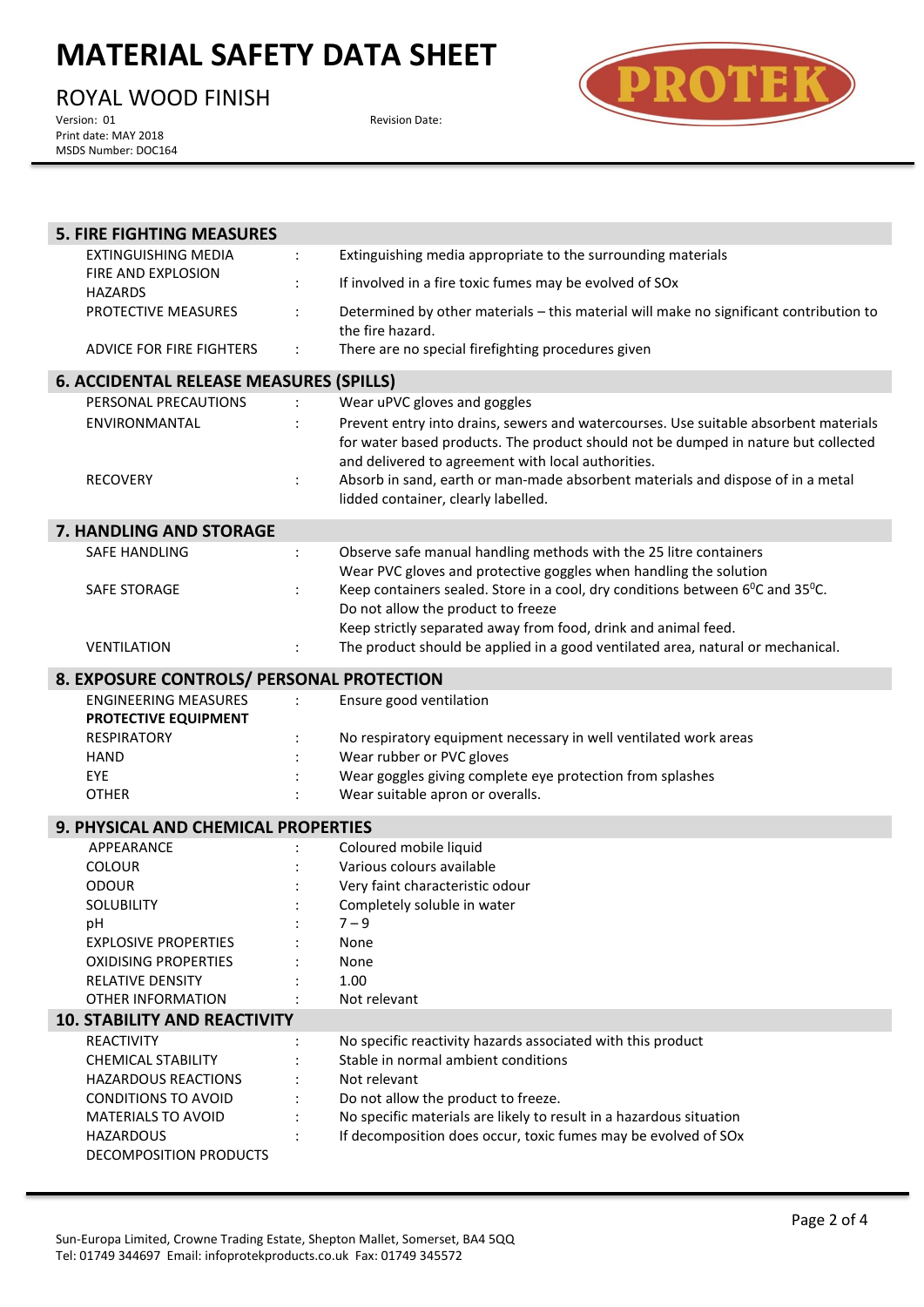ROYAL WOOD FINISH<br>Version: 01

Print date: MAY 2018 MSDS Number: DOC164 Revision Date:



| <b>5. FIRE FIGHTING MEASURES</b>                    |                                                                                                                                                                                                                                  |
|-----------------------------------------------------|----------------------------------------------------------------------------------------------------------------------------------------------------------------------------------------------------------------------------------|
| <b>EXTINGUISHING MEDIA</b>                          | Extinguishing media appropriate to the surrounding materials<br>$\ddot{\cdot}$                                                                                                                                                   |
| FIRE AND EXPLOSION<br><b>HAZARDS</b>                | If involved in a fire toxic fumes may be evolved of SOx                                                                                                                                                                          |
| PROTECTIVE MEASURES                                 | Determined by other materials - this material will make no significant contribution to<br>the fire hazard.                                                                                                                       |
| ADVICE FOR FIRE FIGHTERS                            | There are no special firefighting procedures given                                                                                                                                                                               |
| <b>6. ACCIDENTAL RELEASE MEASURES (SPILLS)</b>      |                                                                                                                                                                                                                                  |
| PERSONAL PRECAUTIONS                                | Wear uPVC gloves and goggles                                                                                                                                                                                                     |
| ENVIRONMANTAL                                       | Prevent entry into drains, sewers and watercourses. Use suitable absorbent materials<br>for water based products. The product should not be dumped in nature but collected<br>and delivered to agreement with local authorities. |
| <b>RECOVERY</b>                                     | Absorb in sand, earth or man-made absorbent materials and dispose of in a metal<br>lidded container, clearly labelled.                                                                                                           |
| 7. HANDLING AND STORAGE                             |                                                                                                                                                                                                                                  |
| <b>SAFE HANDLING</b>                                | Observe safe manual handling methods with the 25 litre containers<br>$\ddot{\cdot}$<br>Wear PVC gloves and protective goggles when handling the solution                                                                         |
| SAFE STORAGE                                        | Keep containers sealed. Store in a cool, dry conditions between $6^{\circ}$ C and 35 $^{\circ}$ C.<br>Do not allow the product to freeze<br>Keep strictly separated away from food, drink and animal feed.                       |
| <b>VENTILATION</b>                                  | The product should be applied in a good ventilated area, natural or mechanical.                                                                                                                                                  |
| 8. EXPOSURE CONTROLS/ PERSONAL PROTECTION           |                                                                                                                                                                                                                                  |
| <b>ENGINEERING MEASURES</b><br>PROTECTIVE EQUIPMENT | Ensure good ventilation                                                                                                                                                                                                          |
| <b>RESPIRATORY</b>                                  | No respiratory equipment necessary in well ventilated work areas                                                                                                                                                                 |
| <b>HAND</b>                                         | Wear rubber or PVC gloves                                                                                                                                                                                                        |
| EYE<br><b>OTHER</b>                                 | Wear goggles giving complete eye protection from splashes                                                                                                                                                                        |
|                                                     | Wear suitable apron or overalls.                                                                                                                                                                                                 |
| 9. PHYSICAL AND CHEMICAL PROPERTIES                 |                                                                                                                                                                                                                                  |
| APPEARANCE                                          | Coloured mobile liquid                                                                                                                                                                                                           |
| <b>COLOUR</b>                                       | Various colours available                                                                                                                                                                                                        |
| <b>ODOUR</b><br>SOLUBILITY                          | Very faint characteristic odour<br>Completely soluble in water                                                                                                                                                                   |
| pH                                                  | $7 - 9$                                                                                                                                                                                                                          |
| <b>EXPLOSIVE PROPERTIES</b>                         | None                                                                                                                                                                                                                             |
| <b>OXIDISING PROPERTIES</b>                         | None                                                                                                                                                                                                                             |
| <b>RELATIVE DENSITY</b>                             | 1.00                                                                                                                                                                                                                             |
| OTHER INFORMATION                                   | Not relevant                                                                                                                                                                                                                     |
| <b>10. STABILITY AND REACTIVITY</b>                 |                                                                                                                                                                                                                                  |
|                                                     |                                                                                                                                                                                                                                  |
| <b>REACTIVITY</b>                                   | No specific reactivity hazards associated with this product                                                                                                                                                                      |
| <b>CHEMICAL STABILITY</b>                           | Stable in normal ambient conditions                                                                                                                                                                                              |
| <b>HAZARDOUS REACTIONS</b>                          | Not relevant                                                                                                                                                                                                                     |
| <b>CONDITIONS TO AVOID</b>                          | Do not allow the product to freeze.                                                                                                                                                                                              |
| <b>MATERIALS TO AVOID</b>                           | No specific materials are likely to result in a hazardous situation                                                                                                                                                              |
| <b>HAZARDOUS</b><br>DECOMPOSITION PRODUCTS          | If decomposition does occur, toxic fumes may be evolved of SOx                                                                                                                                                                   |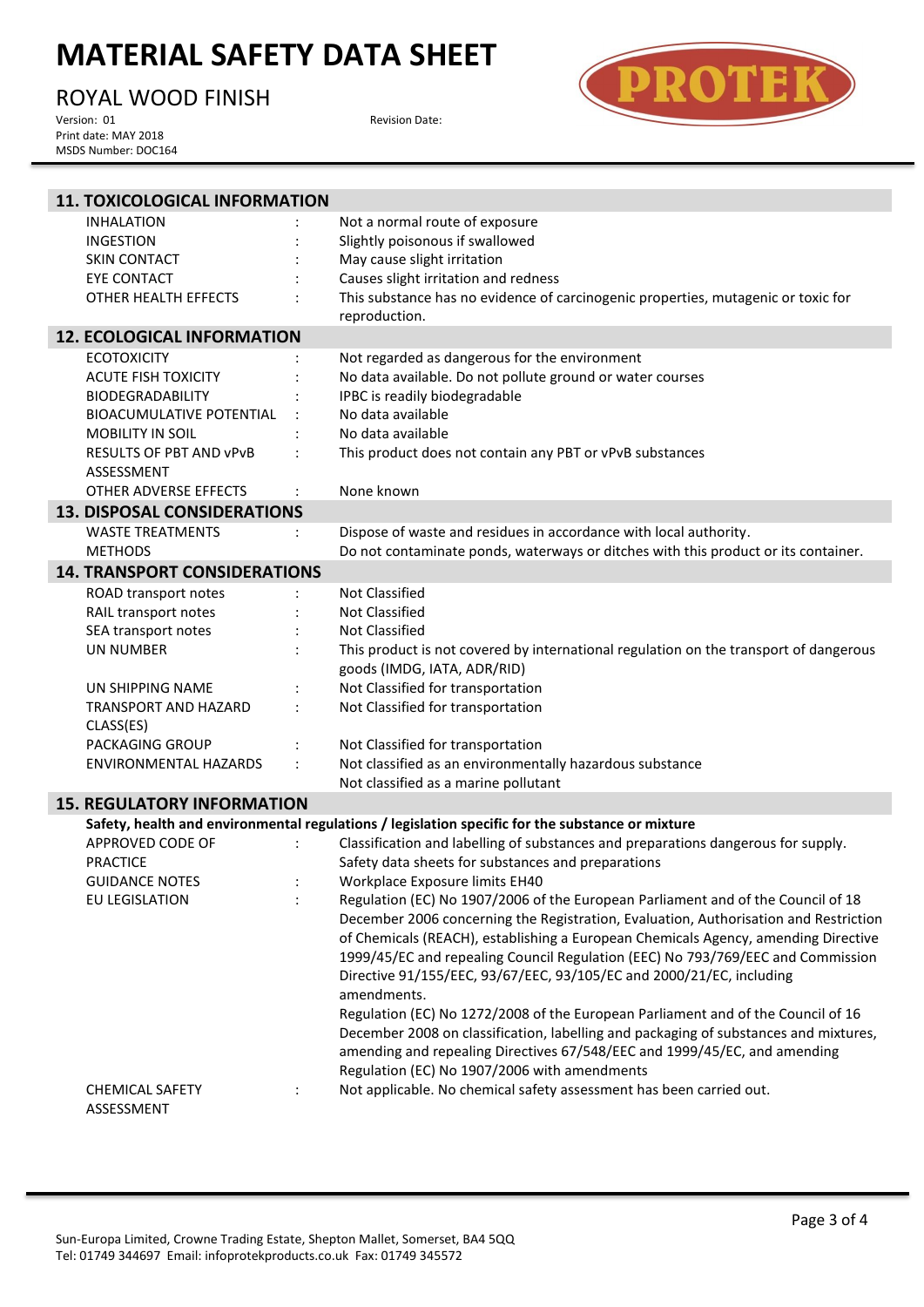ROYAL WOOD FINISH<br>Version: 01

Print date: MAY 2018 MSDS Number: DOC164 Revision Date:



| <b>11. TOXICOLOGICAL INFORMATION</b> |                                                                                                  |
|--------------------------------------|--------------------------------------------------------------------------------------------------|
| <b>INHALATION</b>                    | Not a normal route of exposure                                                                   |
| <b>INGESTION</b>                     | Slightly poisonous if swallowed                                                                  |
| <b>SKIN CONTACT</b>                  | May cause slight irritation                                                                      |
| EYE CONTACT                          | Causes slight irritation and redness                                                             |
| OTHER HEALTH EFFECTS                 | This substance has no evidence of carcinogenic properties, mutagenic or toxic for                |
|                                      | reproduction.                                                                                    |
| <b>12. ECOLOGICAL INFORMATION</b>    |                                                                                                  |
| <b>ECOTOXICITY</b>                   | Not regarded as dangerous for the environment                                                    |
| <b>ACUTE FISH TOXICITY</b>           | No data available. Do not pollute ground or water courses                                        |
| <b>BIODEGRADABILITY</b>              | IPBC is readily biodegradable                                                                    |
| <b>BIOACUMULATIVE POTENTIAL</b>      | No data available                                                                                |
| <b>MOBILITY IN SOIL</b>              | No data available                                                                                |
| <b>RESULTS OF PBT AND VPVB</b>       | This product does not contain any PBT or vPvB substances                                         |
| ASSESSMENT                           |                                                                                                  |
| OTHER ADVERSE EFFECTS                | None known                                                                                       |
| <b>13. DISPOSAL CONSIDERATIONS</b>   |                                                                                                  |
| <b>WASTE TREATMENTS</b>              | Dispose of waste and residues in accordance with local authority.                                |
| <b>METHODS</b>                       | Do not contaminate ponds, waterways or ditches with this product or its container.               |
| <b>14. TRANSPORT CONSIDERATIONS</b>  |                                                                                                  |
| ROAD transport notes                 | <b>Not Classified</b>                                                                            |
| RAIL transport notes                 | Not Classified                                                                                   |
| SEA transport notes                  | Not Classified                                                                                   |
| <b>UN NUMBER</b>                     | This product is not covered by international regulation on the transport of dangerous            |
|                                      | goods (IMDG, IATA, ADR/RID)                                                                      |
| UN SHIPPING NAME                     | Not Classified for transportation                                                                |
| <b>TRANSPORT AND HAZARD</b>          | Not Classified for transportation                                                                |
| CLASS(ES)                            |                                                                                                  |
| PACKAGING GROUP                      | Not Classified for transportation                                                                |
| ENVIRONMENTAL HAZARDS                | Not classified as an environmentally hazardous substance                                         |
|                                      | Not classified as a marine pollutant                                                             |
| <b>15. REGULATORY INFORMATION</b>    |                                                                                                  |
|                                      | Safety, health and environmental regulations / legislation specific for the substance or mixture |
| APPROVED CODE OF                     | Classification and labelling of substances and preparations dangerous for supply.                |
| <b>PRACTICE</b>                      | Safety data sheets for substances and preparations                                               |
| <b>GUIDANCE NOTES</b>                | Workplace Exposure limits EH40                                                                   |
| EU LEGISLATION                       | Regulation (EC) No 1907/2006 of the European Parliament and of the Council of 18                 |
|                                      | December 2006 concerning the Registration, Evaluation, Authorisation and Restriction             |
|                                      | of Chemicals (REACH), establishing a European Chemicals Agency, amending Directive               |
|                                      | 1999/45/EC and repealing Council Regulation (EEC) No 793/769/EEC and Commission                  |
|                                      | Directive 91/155/EEC, 93/67/EEC, 93/105/EC and 2000/21/EC, including                             |
|                                      | amendments.                                                                                      |
|                                      | Regulation (EC) No 1272/2008 of the European Parliament and of the Council of 16                 |
|                                      | December 2008 on classification, labelling and packaging of substances and mixtures,             |
|                                      | amending and repealing Directives 67/548/EEC and 1999/45/EC, and amending                        |
|                                      | Regulation (EC) No 1907/2006 with amendments                                                     |
| <b>CHEMICAL SAFETY</b>               | Not applicable. No chemical safety assessment has been carried out.                              |
| ASSESSMENT                           |                                                                                                  |